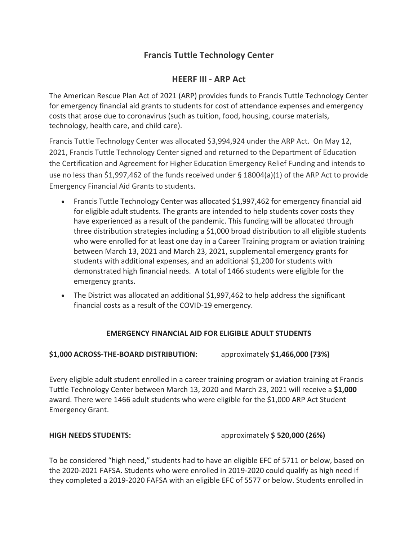# **Francis Tuttle Technology Center**

## **HEERF III - ARP Act**

The American Rescue Plan Act of 2021 (ARP) provides funds to Francis Tuttle Technology Center for emergency financial aid grants to students for cost of attendance expenses and emergency costs that arose due to coronavirus (such as tuition, food, housing, course materials, technology, health care, and child care).

Francis Tuttle Technology Center was allocated \$3,994,924 under the ARP Act. On May 12, 2021, Francis Tuttle Technology Center signed and returned to the Department of Education the Certification and Agreement for Higher Education Emergency Relief Funding and intends to use no less than \$1,997,462 of the funds received under § 18004(a)(1) of the ARP Act to provide Emergency Financial Aid Grants to students.

- Francis Tuttle Technology Center was allocated \$1,997,462 for emergency financial aid for eligible adult students. The grants are intended to help students cover costs they have experienced as a result of the pandemic. This funding will be allocated through three distribution strategies including a \$1,000 broad distribution to all eligible students who were enrolled for at least one day in a Career Training program or aviation training between March 13, 2021 and March 23, 2021, supplemental emergency grants for students with additional expenses, and an additional \$1,200 for students with demonstrated high financial needs. A total of 1466 students were eligible for the emergency grants.
- The District was allocated an additional \$1,997,462 to help address the significant financial costs as a result of the COVID-19 emergency.

## **EMERGENCY FINANCIAL AID FOR ELIGIBLE ADULT STUDENTS**

## **\$1,000 ACROSS-THE-BOARD DISTRIBUTION:** approximately **\$1,466,000 (73%)**

Every eligible adult student enrolled in a career training program or aviation training at Francis Tuttle Technology Center between March 13, 2020 and March 23, 2021 will receive a **\$1,000** award. There were 1466 adult students who were eligible for the \$1,000 ARP Act Student Emergency Grant.

**HIGH NEEDS STUDENTS:** approximately **\$ 520,000 (26%)**

To be considered "high need," students had to have an eligible EFC of 5711 or below, based on the 2020-2021 FAFSA. Students who were enrolled in 2019-2020 could qualify as high need if they completed a 2019-2020 FAFSA with an eligible EFC of 5577 or below. Students enrolled in